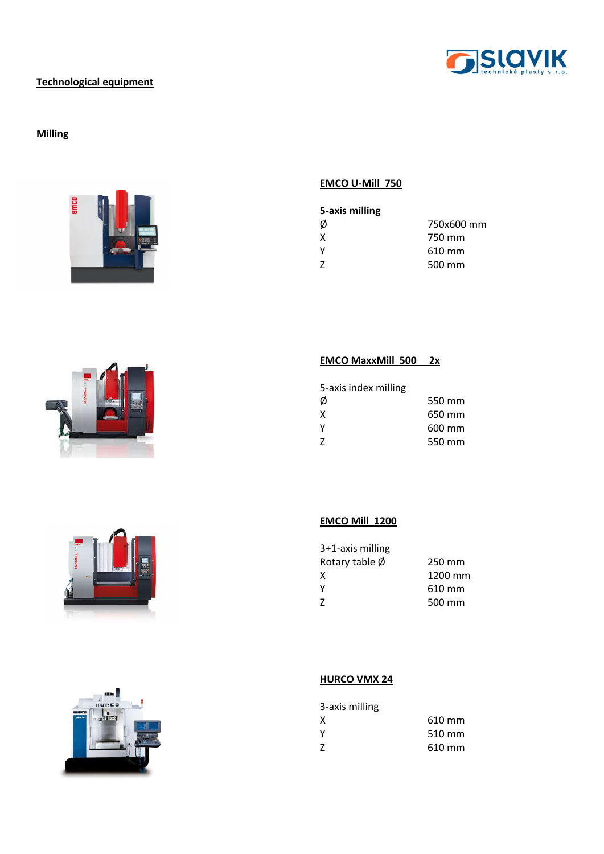

### Technological equipment

## **Milling**









### EMCO U-Mill 750

| 5-axis milling |            |
|----------------|------------|
| Ø              | 750x600 mm |
| X              | 750 mm     |
| γ              | 610 mm     |
| 7              | 500 mm     |

#### EMCO MaxxMill 500 2x

| 5-axis index milling |        |
|----------------------|--------|
| Ø                    | 550 mm |
| X                    | 650 mm |
| Y                    | 600 mm |
| 7                    | 550 mm |

### EMCO Mill 1200

| 250 mm  |
|---------|
| 1200 mm |
| 610 mm  |
| 500 mm  |
|         |

### **HURCO VMX 24**

| 3-axis milling |        |
|----------------|--------|
| x              | 610 mm |
| ٧              | 510 mm |
| Z              | 610 mm |
|                |        |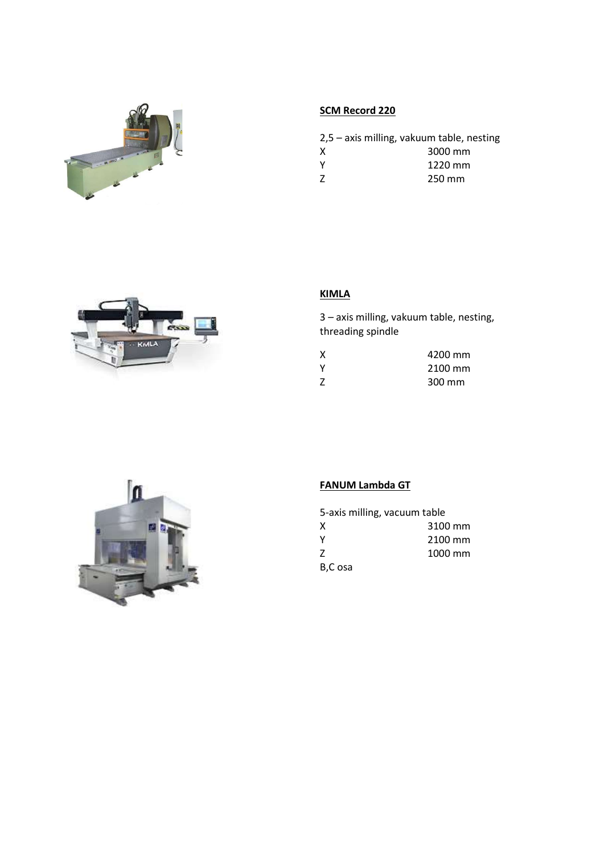

# SCM Record 220

|          | $2,5$ – axis milling, vakuum table, nesting |
|----------|---------------------------------------------|
| X        | 3000 mm                                     |
| <b>Y</b> | 1220 mm                                     |
| 7        | 250 mm                                      |



# KIMLA

3 – axis milling, vakuum table, nesting, threading spindle

| χ | 4200 mm |
|---|---------|
| ٧ | 2100 mm |
| Z | 300 mm  |



# FANUM Lambda GT

| 5-axis milling, vacuum table |         |
|------------------------------|---------|
| X                            | 3100 mm |
| Y                            | 2100 mm |
| Z                            | 1000 mm |
| B,C osa                      |         |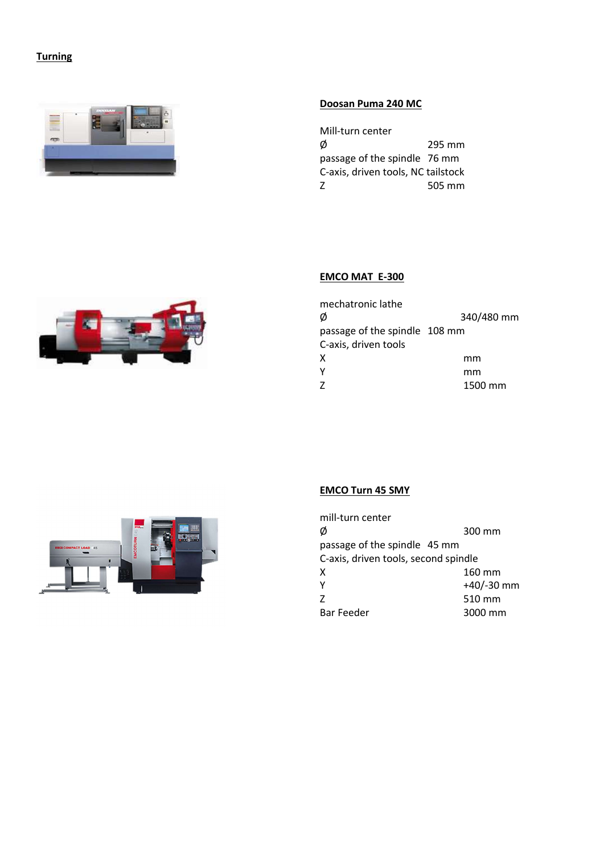# **Turning**



#### Doosan Puma 240 MC

Mill-turn center  $\emptyset$  295 mm passage of the spindle 76 mm C-axis, driven tools, NC tailstock Z 505 mm



### EMCO MAT E-300



### EMCO Turn 45 SMY

| mill-turn center                     |              |
|--------------------------------------|--------------|
| Ø                                    | 300 mm       |
| passage of the spindle 45 mm         |              |
| C-axis, driven tools, second spindle |              |
| X                                    | 160 mm       |
| Υ                                    | $+40/-30$ mm |
| 7                                    | 510 mm       |
| <b>Bar Feeder</b>                    | 3000 mm      |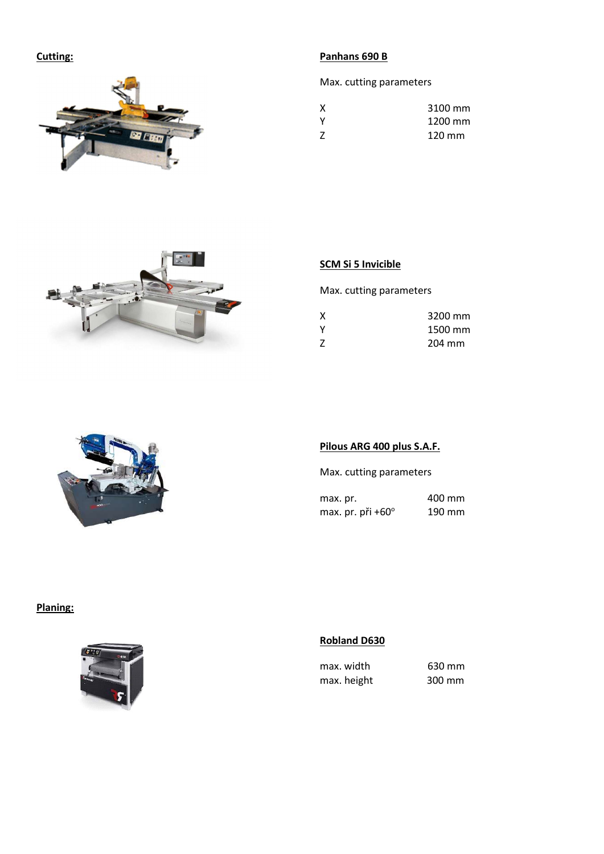Cutting:



## Panhans 690 B

Max. cutting parameters

| X            | 3100 mm |
|--------------|---------|
| <b>V</b>     | 1200 mm |
| <sup>7</sup> | 120 mm  |



# SCM Si 5 Invicible

Max. cutting parameters

| χ | 3200 mm |
|---|---------|
| ٧ | 1500 mm |
| Z | 204 mm  |



### Pilous ARG 400 plus S.A.F.

Max. cutting parameters

max. pr. 400 mm max. pr. při +60 $^{\circ}$  190 mm

# Planing:



## Robland D630

| max. width  | 630 mm |
|-------------|--------|
| max. height | 300 mm |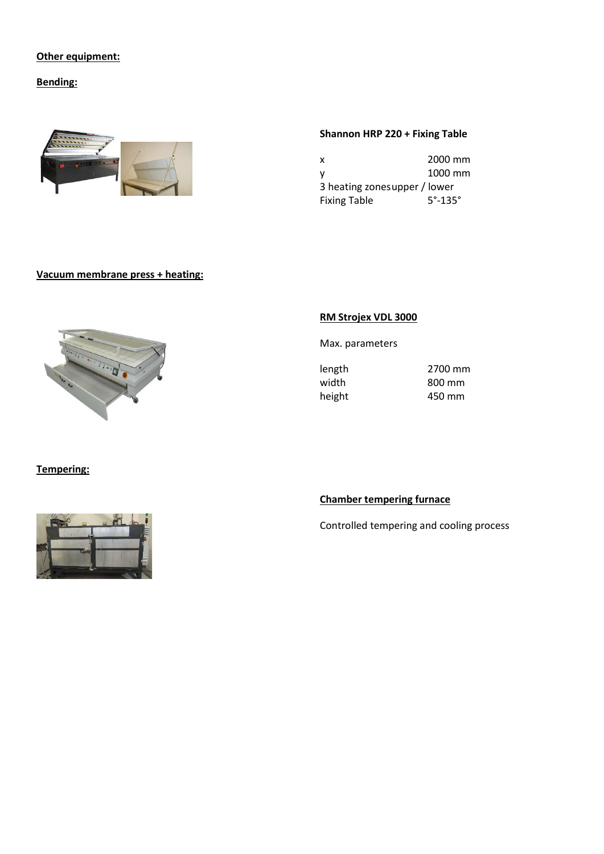## Other equipment:

Bending:



### Shannon HRP 220 + Fixing Table

| x                            | 2000 mm                 |
|------------------------------|-------------------------|
| ۷                            | 1000 mm                 |
| 3 heating zonesupper / lower |                         |
| <b>Fixing Table</b>          | $5^\circ$ -135 $^\circ$ |

### Vacuum membrane press + heating:



### RM Strojex VDL 3000

Max. parameters

length 2700 mm width 800 mm height 450 mm

Tempering:



# Chamber tempering furnace

Controlled tempering and cooling process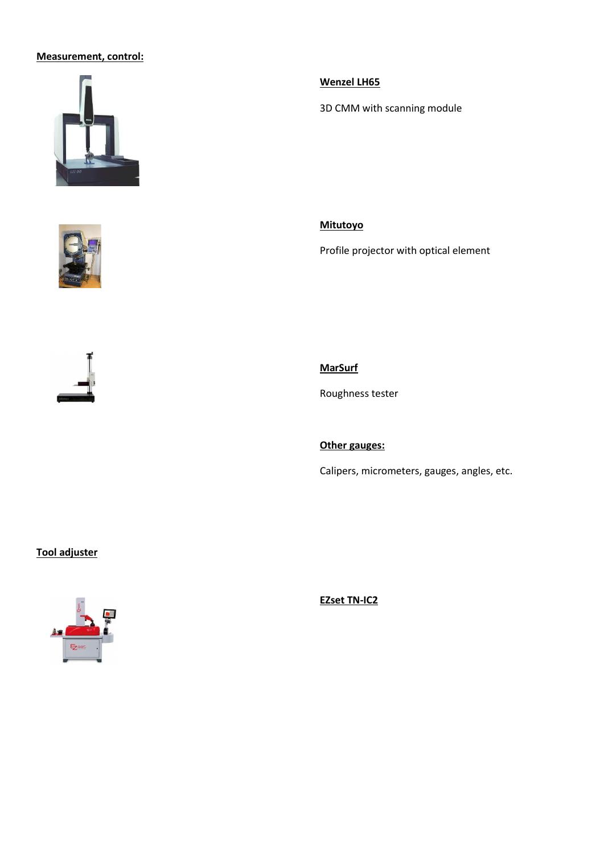### Measurement, control:







Wenzel LH65

3D CMM with scanning module

Mitutoyo

Profile projector with optical element

**MarSurf** 

Roughness tester

Other gauges:

Calipers, micrometers, gauges, angles, etc.

## Tool adjuster



EZset TN-IC2